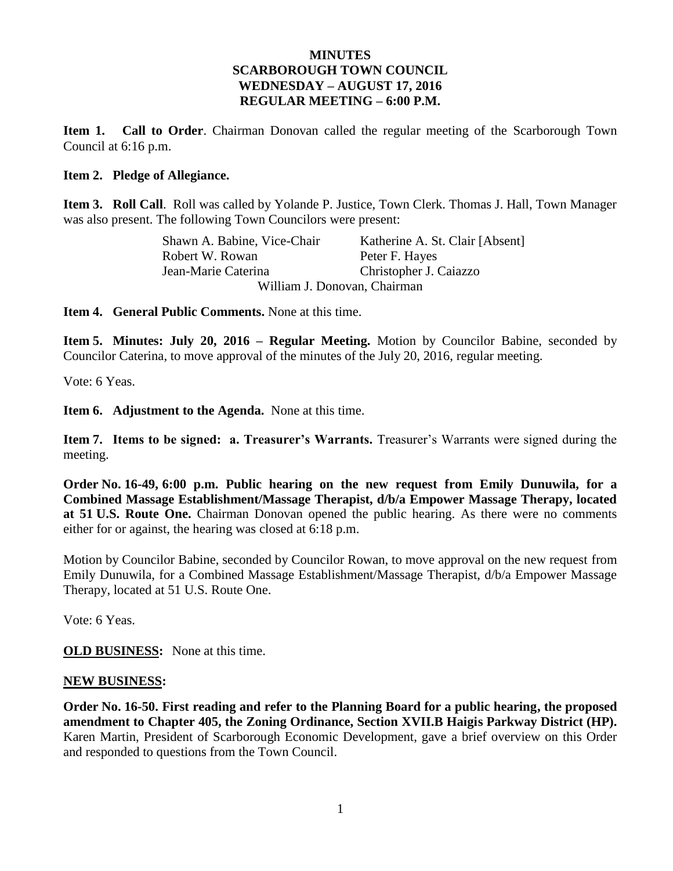## **MINUTES SCARBOROUGH TOWN COUNCIL WEDNESDAY – AUGUST 17, 2016 REGULAR MEETING – 6:00 P.M.**

**Item 1. Call to Order**. Chairman Donovan called the regular meeting of the Scarborough Town Council at 6:16 p.m.

#### **Item 2. Pledge of Allegiance.**

**Item 3. Roll Call**. Roll was called by Yolande P. Justice, Town Clerk. Thomas J. Hall, Town Manager was also present. The following Town Councilors were present:

> Shawn A. Babine, Vice-Chair Katherine A. St. Clair [Absent] Robert W. Rowan Peter F. Hayes Jean-Marie Caterina Christopher J. Caiazzo William J. Donovan, Chairman

**Item 4. General Public Comments.** None at this time.

**Item 5. Minutes: July 20, 2016 – Regular Meeting.** Motion by Councilor Babine, seconded by Councilor Caterina, to move approval of the minutes of the July 20, 2016, regular meeting.

Vote: 6 Yeas.

**Item 6. Adjustment to the Agenda.** None at this time.

**Item 7. Items to be signed: a. Treasurer's Warrants.** Treasurer's Warrants were signed during the meeting.

**Order No. 16-49, 6:00 p.m. Public hearing on the new request from Emily Dunuwila, for a Combined Massage Establishment/Massage Therapist, d/b/a Empower Massage Therapy, located at 51 U.S. Route One.** Chairman Donovan opened the public hearing. As there were no comments either for or against, the hearing was closed at 6:18 p.m.

Motion by Councilor Babine, seconded by Councilor Rowan, to move approval on the new request from Emily Dunuwila, for a Combined Massage Establishment/Massage Therapist, d/b/a Empower Massage Therapy, located at 51 U.S. Route One.

Vote: 6 Yeas.

**OLD BUSINESS:** None at this time.

#### **NEW BUSINESS:**

**Order No. 16-50. First reading and refer to the Planning Board for a public hearing, the proposed amendment to Chapter 405, the Zoning Ordinance, Section XVII.B Haigis Parkway District (HP).**  Karen Martin, President of Scarborough Economic Development, gave a brief overview on this Order and responded to questions from the Town Council.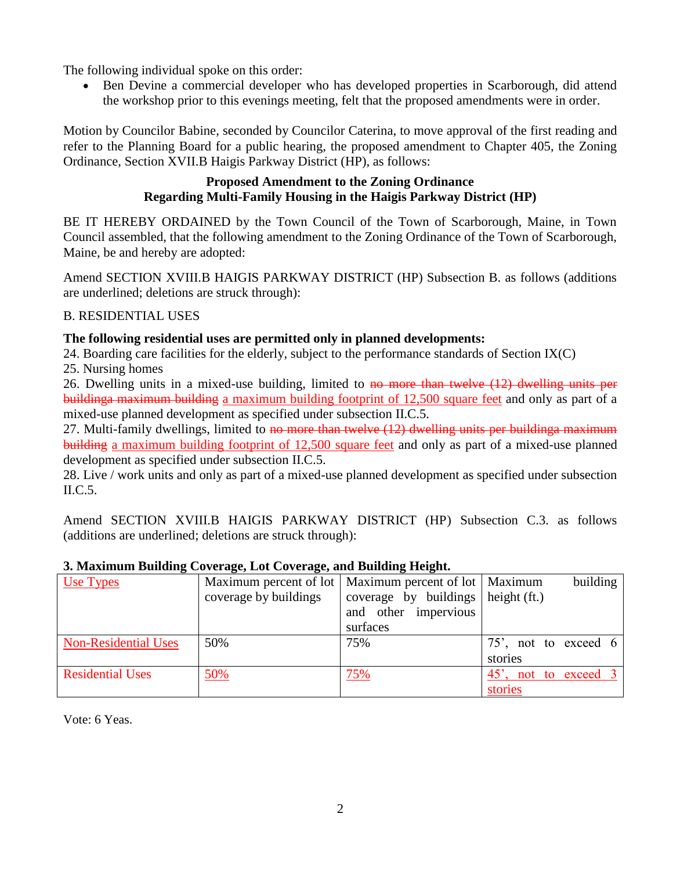The following individual spoke on this order:

 Ben Devine a commercial developer who has developed properties in Scarborough, did attend the workshop prior to this evenings meeting, felt that the proposed amendments were in order.

Motion by Councilor Babine, seconded by Councilor Caterina, to move approval of the first reading and refer to the Planning Board for a public hearing, the proposed amendment to Chapter 405, the Zoning Ordinance, Section XVII.B Haigis Parkway District (HP), as follows:

## **Proposed Amendment to the Zoning Ordinance Regarding Multi-Family Housing in the Haigis Parkway District (HP)**

BE IT HEREBY ORDAINED by the Town Council of the Town of Scarborough, Maine, in Town Council assembled, that the following amendment to the Zoning Ordinance of the Town of Scarborough, Maine, be and hereby are adopted:

Amend SECTION XVIII.B HAIGIS PARKWAY DISTRICT (HP) Subsection B. as follows (additions are underlined; deletions are struck through):

## B. RESIDENTIAL USES

## **The following residential uses are permitted only in planned developments:**

24. Boarding care facilities for the elderly, subject to the performance standards of Section IX(C)

25. Nursing homes

26. Dwelling units in a mixed-use building, limited to no more than twelve (12) dwelling units per buildinga maximum building a maximum building footprint of 12,500 square feet and only as part of a mixed-use planned development as specified under subsection II.C.5.

27. Multi-family dwellings, limited to no more than twelve (12) dwelling units per building a maximum building a maximum building footprint of 12,500 square feet and only as part of a mixed-use planned development as specified under subsection II.C.5.

28. Live / work units and only as part of a mixed-use planned development as specified under subsection II.C.5.

Amend SECTION XVIII.B HAIGIS PARKWAY DISTRICT (HP) Subsection C.3. as follows (additions are underlined; deletions are struck through):

| Use Types                   |                       | Maximum percent of lot   Maximum percent of lot   Maximum | building                          |  |
|-----------------------------|-----------------------|-----------------------------------------------------------|-----------------------------------|--|
|                             | coverage by buildings | coverage by buildings   height (ft.)                      |                                   |  |
|                             |                       | and other impervious                                      |                                   |  |
|                             |                       | surfaces                                                  |                                   |  |
| <b>Non-Residential Uses</b> | 50%                   | 75%                                                       | 75', not to exceed $6$            |  |
|                             |                       |                                                           | stories                           |  |
| <b>Residential Uses</b>     | 50%                   | 75%                                                       | 45 <sup>'</sup> , not to exceed 3 |  |
|                             |                       |                                                           | stories                           |  |

## **3. Maximum Building Coverage, Lot Coverage, and Building Height.**

Vote: 6 Yeas.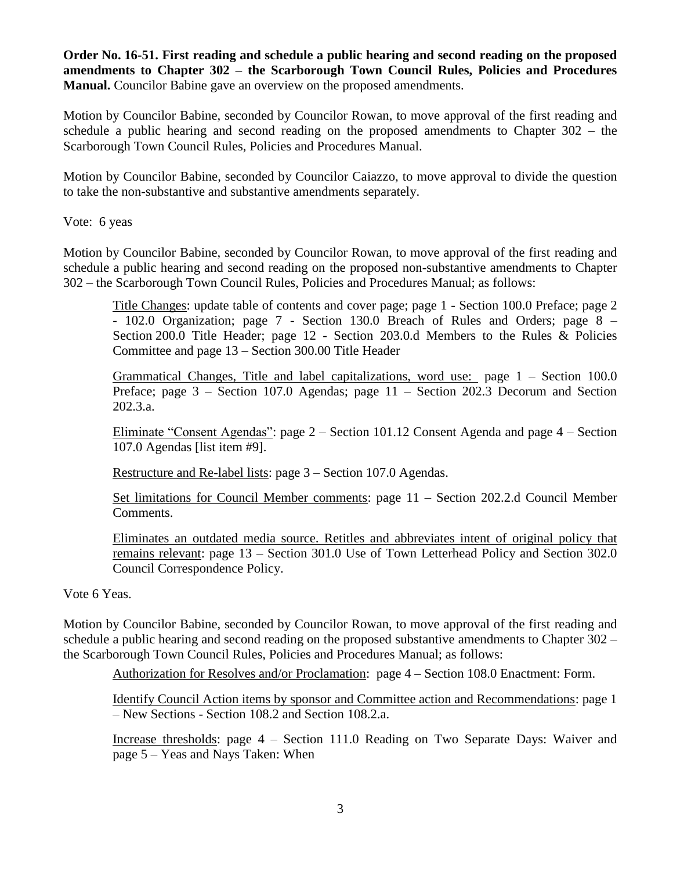**Order No. 16-51. First reading and schedule a public hearing and second reading on the proposed amendments to Chapter 302 – the Scarborough Town Council Rules, Policies and Procedures Manual.** Councilor Babine gave an overview on the proposed amendments.

Motion by Councilor Babine, seconded by Councilor Rowan, to move approval of the first reading and schedule a public hearing and second reading on the proposed amendments to Chapter 302 – the Scarborough Town Council Rules, Policies and Procedures Manual.

Motion by Councilor Babine, seconded by Councilor Caiazzo, to move approval to divide the question to take the non-substantive and substantive amendments separately.

Vote: 6 yeas

Motion by Councilor Babine, seconded by Councilor Rowan, to move approval of the first reading and schedule a public hearing and second reading on the proposed non-substantive amendments to Chapter 302 – the Scarborough Town Council Rules, Policies and Procedures Manual; as follows:

Title Changes: update table of contents and cover page; page 1 - Section 100.0 Preface; page 2 - 102.0 Organization; page 7 - Section 130.0 Breach of Rules and Orders; page 8 – Section 200.0 Title Header; page 12 - Section 203.0.d Members to the Rules & Policies Committee and page 13 – Section 300.00 Title Header

Grammatical Changes, Title and label capitalizations, word use: page 1 – Section 100.0 Preface; page 3 – Section 107.0 Agendas; page 11 – Section 202.3 Decorum and Section 202.3.a.

Eliminate "Consent Agendas": page 2 – Section 101.12 Consent Agenda and page 4 – Section 107.0 Agendas [list item #9].

Restructure and Re-label lists: page 3 – Section 107.0 Agendas.

Set limitations for Council Member comments: page 11 – Section 202.2.d Council Member Comments.

Eliminates an outdated media source. Retitles and abbreviates intent of original policy that remains relevant: page 13 – Section 301.0 Use of Town Letterhead Policy and Section 302.0 Council Correspondence Policy.

Vote 6 Yeas.

Motion by Councilor Babine, seconded by Councilor Rowan, to move approval of the first reading and schedule a public hearing and second reading on the proposed substantive amendments to Chapter 302 – the Scarborough Town Council Rules, Policies and Procedures Manual; as follows:

Authorization for Resolves and/or Proclamation: page 4 – Section 108.0 Enactment: Form.

Identify Council Action items by sponsor and Committee action and Recommendations: page 1 – New Sections - Section 108.2 and Section 108.2.a.

Increase thresholds: page 4 – Section 111.0 Reading on Two Separate Days: Waiver and page 5 – Yeas and Nays Taken: When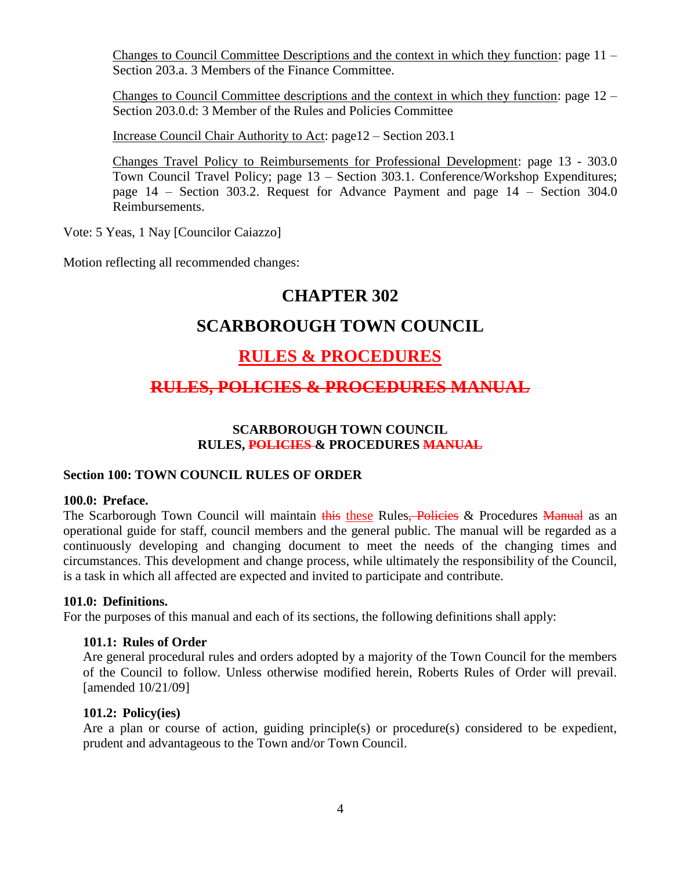Changes to Council Committee Descriptions and the context in which they function: page 11 – Section 203.a. 3 Members of the Finance Committee.

Changes to Council Committee descriptions and the context in which they function: page 12 – Section 203.0.d: 3 Member of the Rules and Policies Committee

Increase Council Chair Authority to Act: page12 – Section 203.1

Changes Travel Policy to Reimbursements for Professional Development: page 13 - 303.0 Town Council Travel Policy; page 13 – Section 303.1. Conference/Workshop Expenditures; page 14 – Section 303.2. Request for Advance Payment and page 14 – Section 304.0 Reimbursements.

Vote: 5 Yeas, 1 Nay [Councilor Caiazzo]

Motion reflecting all recommended changes:

## **CHAPTER 302**

# **SCARBOROUGH TOWN COUNCIL**

# **RULES & PROCEDURES**

## **RULES, POLICIES & PROCEDURES MANUAL**

## **SCARBOROUGH TOWN COUNCIL RULES, POLICIES & PROCEDURES MANUAL**

#### **Section 100: TOWN COUNCIL RULES OF ORDER**

#### **100.0: Preface.**

The Scarborough Town Council will maintain this these Rules, Policies & Procedures Manual as an operational guide for staff, council members and the general public. The manual will be regarded as a continuously developing and changing document to meet the needs of the changing times and circumstances. This development and change process, while ultimately the responsibility of the Council, is a task in which all affected are expected and invited to participate and contribute.

#### **101.0: Definitions.**

For the purposes of this manual and each of its sections, the following definitions shall apply:

#### **101.1: Rules of Order**

Are general procedural rules and orders adopted by a majority of the Town Council for the members of the Council to follow. Unless otherwise modified herein, Roberts Rules of Order will prevail. [amended 10/21/09]

#### **101.2: Policy(ies)**

Are a plan or course of action, guiding principle(s) or procedure(s) considered to be expedient, prudent and advantageous to the Town and/or Town Council.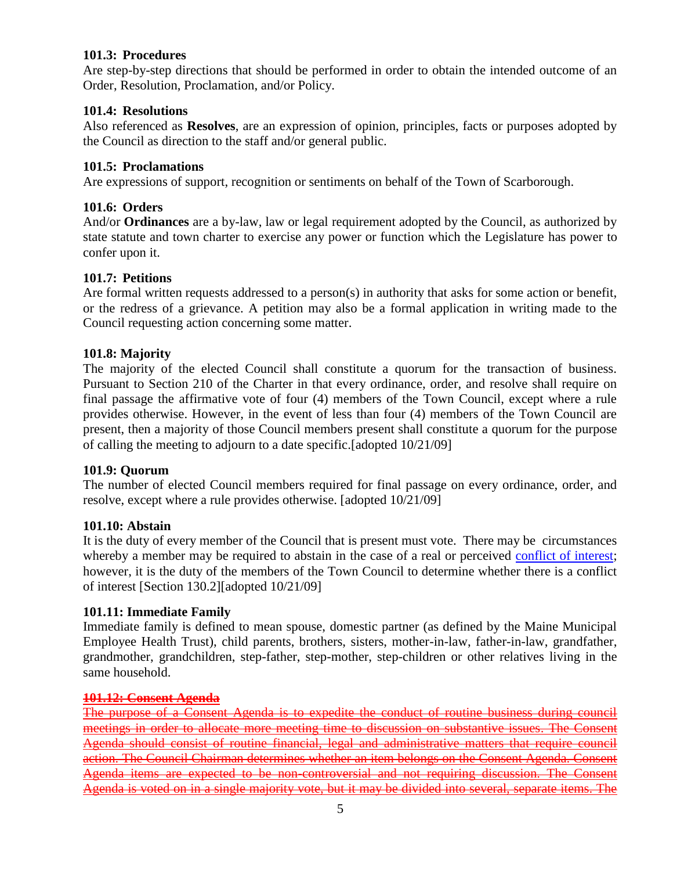## **101.3: Procedures**

Are step-by-step directions that should be performed in order to obtain the intended outcome of an Order, Resolution, Proclamation, and/or Policy.

## **101.4: Resolutions**

Also referenced as **Resolves**, are an expression of opinion, principles, facts or purposes adopted by the Council as direction to the staff and/or general public.

## **101.5: Proclamations**

Are expressions of support, recognition or sentiments on behalf of the Town of Scarborough.

## **101.6: Orders**

And/or **Ordinances** are a by-law, law or legal requirement adopted by the Council, as authorized by state statute and town charter to exercise any power or function which the Legislature has power to confer upon it.

## **101.7: Petitions**

Are formal written requests addressed to a person(s) in authority that asks for some action or benefit, or the redress of a grievance. A petition may also be a formal application in writing made to the Council requesting action concerning some matter.

## **101.8: Majority**

The majority of the elected Council shall constitute a quorum for the transaction of business. Pursuant to Section 210 of the Charter in that every ordinance, order, and resolve shall require on final passage the affirmative vote of four (4) members of the Town Council, except where a rule provides otherwise. However, in the event of less than four (4) members of the Town Council are present, then a majority of those Council members present shall constitute a quorum for the purpose of calling the meeting to adjourn to a date specific.[adopted 10/21/09]

#### **101.9: Quorum**

The number of elected Council members required for final passage on every ordinance, order, and resolve, except where a rule provides otherwise. [adopted 10/21/09]

#### **101.10: Abstain**

It is the duty of every member of the Council that is present must vote. There may be circumstances whereby a member may be required to abstain in the case of a real or perceived [conflict of interest;](http://en.wikipedia.org/wiki/Conflict_of_interest) however, it is the duty of the members of the Town Council to determine whether there is a conflict of interest [Section 130.2][adopted 10/21/09]

#### **101.11: Immediate Family**

Immediate family is defined to mean spouse, domestic partner (as defined by the Maine Municipal Employee Health Trust), child parents, brothers, sisters, mother-in-law, father-in-law, grandfather, grandmother, grandchildren, step-father, step-mother, step-children or other relatives living in the same household.

#### **101.12: Consent Agenda**

The purpose of a Consent Agenda is to expedite the conduct of routine business during council meetings in order to allocate more meeting time to discussion on substantive issues. The Consent Agenda should consist of routine financial, legal and administrative matters that require council action. The Council Chairman determines whether an item belongs on the Consent Agenda. Consent Agenda items are expected to be non-controversial and not requiring discussion. The Consent Agenda is voted on in a single majority vote, but it may be divided into several, separate items. The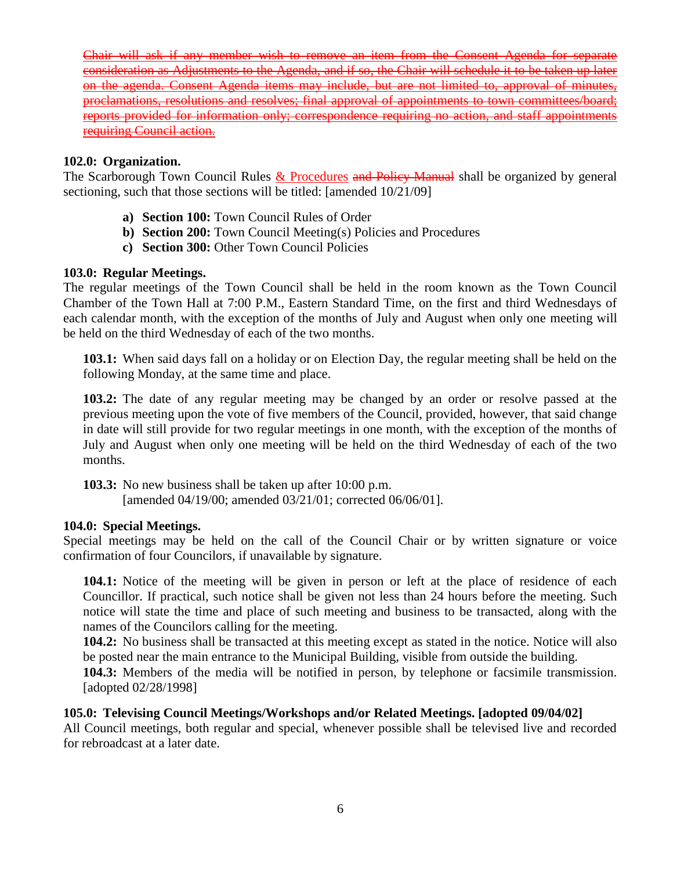Chair will ask if any member wish to remove an item from the Consent Agenda for consideration as Adjustments to the Agenda, and if so, the Chair will schedule it to be taken up later on the agenda. Consent Agenda items may include, but are not limited to, approval of minutes, proclamations, resolutions and resolves; final approval of appointments to town committees/board; reports provided for information only; correspondence requiring no action, and staff appointments requiring Council action.

#### **102.0: Organization.**

The Scarborough Town Council Rules & Procedures and Policy Manual shall be organized by general sectioning, such that those sections will be titled: [amended 10/21/09]

- **a) Section 100:** Town Council Rules of Order
- **b) Section 200:** Town Council Meeting(s) Policies and Procedures
- **c) Section 300:** Other Town Council Policies

#### **103.0: Regular Meetings.**

The regular meetings of the Town Council shall be held in the room known as the Town Council Chamber of the Town Hall at 7:00 P.M., Eastern Standard Time, on the first and third Wednesdays of each calendar month, with the exception of the months of July and August when only one meeting will be held on the third Wednesday of each of the two months.

**103.1:** When said days fall on a holiday or on Election Day, the regular meeting shall be held on the following Monday, at the same time and place.

**103.2:** The date of any regular meeting may be changed by an order or resolve passed at the previous meeting upon the vote of five members of the Council, provided, however, that said change in date will still provide for two regular meetings in one month, with the exception of the months of July and August when only one meeting will be held on the third Wednesday of each of the two months.

**103.3:** No new business shall be taken up after 10:00 p.m. [amended 04/19/00; amended 03/21/01; corrected 06/06/01].

#### **104.0: Special Meetings.**

Special meetings may be held on the call of the Council Chair or by written signature or voice confirmation of four Councilors, if unavailable by signature.

**104.1:** Notice of the meeting will be given in person or left at the place of residence of each Councillor. If practical, such notice shall be given not less than 24 hours before the meeting. Such notice will state the time and place of such meeting and business to be transacted, along with the names of the Councilors calling for the meeting.

**104.2:** No business shall be transacted at this meeting except as stated in the notice. Notice will also be posted near the main entrance to the Municipal Building, visible from outside the building.

**104.3:** Members of the media will be notified in person, by telephone or facsimile transmission. [adopted 02/28/1998]

#### **105.0: Televising Council Meetings/Workshops and/or Related Meetings. [adopted 09/04/02]**

All Council meetings, both regular and special, whenever possible shall be televised live and recorded for rebroadcast at a later date.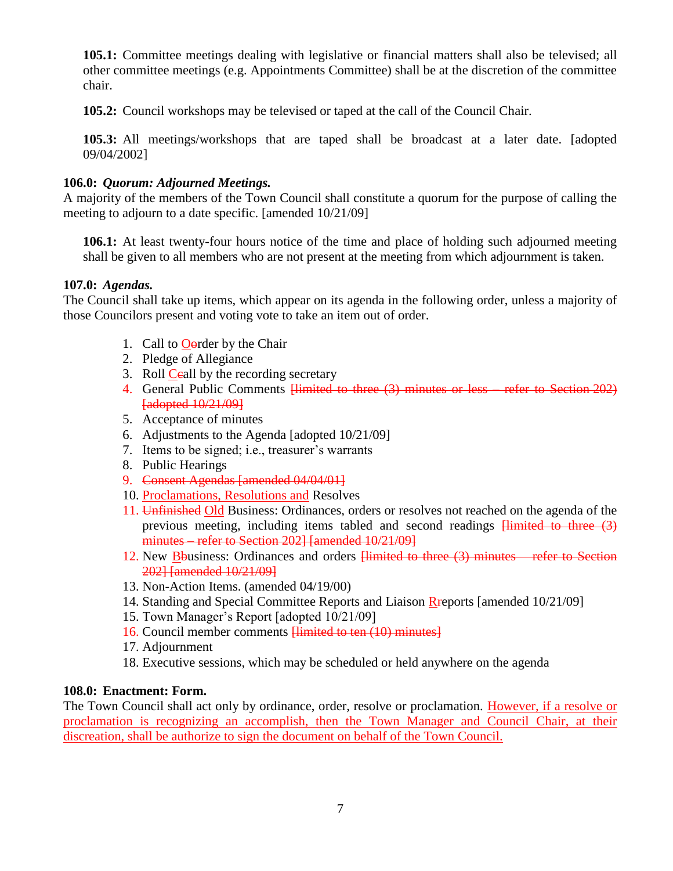**105.1:** Committee meetings dealing with legislative or financial matters shall also be televised; all other committee meetings (e.g. Appointments Committee) shall be at the discretion of the committee chair.

**105.2:** Council workshops may be televised or taped at the call of the Council Chair.

**105.3:** All meetings/workshops that are taped shall be broadcast at a later date. [adopted 09/04/2002]

## **106.0:** *Quorum: Adjourned Meetings.*

A majority of the members of the Town Council shall constitute a quorum for the purpose of calling the meeting to adjourn to a date specific. [amended 10/21/09]

**106.1:** At least twenty-four hours notice of the time and place of holding such adjourned meeting shall be given to all members who are not present at the meeting from which adjournment is taken.

#### **107.0:** *Agendas.*

The Council shall take up items, which appear on its agenda in the following order, unless a majority of those Councilors present and voting vote to take an item out of order.

- 1. Call to Oorder by the Chair
- 2. Pledge of Allegiance
- 3. Roll Ceall by the recording secretary
- 4. General Public Comments <del>Himited to three (3) minutes or less refer to Section 202)</del> [adopted 10/21/09]
- 5. Acceptance of minutes
- 6. Adjustments to the Agenda [adopted 10/21/09]
- 7. Items to be signed; i.e., treasurer's warrants
- 8. Public Hearings
- 9. Consent Agendas [amended 04/04/01]
- 10. Proclamations, Resolutions and Resolves
- 11. Unfinished Old Business: Ordinances, orders or resolves not reached on the agenda of the previous meeting, including items tabled and second readings Himited to three (3) minutes – refer to Section 2021 [amended 10/21/09]
- 12. New Bbusiness: Ordinances and orders **Himited to three (3) minutes** refer to Section 202] [amended 10/21/09]
- 13. Non-Action Items. (amended 04/19/00)
- 14. Standing and Special Committee Reports and Liaison Rreports [amended 10/21/09]
- 15. Town Manager's Report [adopted 10/21/09]
- 16. Council member comments <del>[limited to ten (10) minutes]</del>
- 17. Adjournment
- 18. Executive sessions, which may be scheduled or held anywhere on the agenda

#### **108.0: Enactment: Form.**

The Town Council shall act only by ordinance, order, resolve or proclamation. However, if a resolve or proclamation is recognizing an accomplish, then the Town Manager and Council Chair, at their discreation, shall be authorize to sign the document on behalf of the Town Council.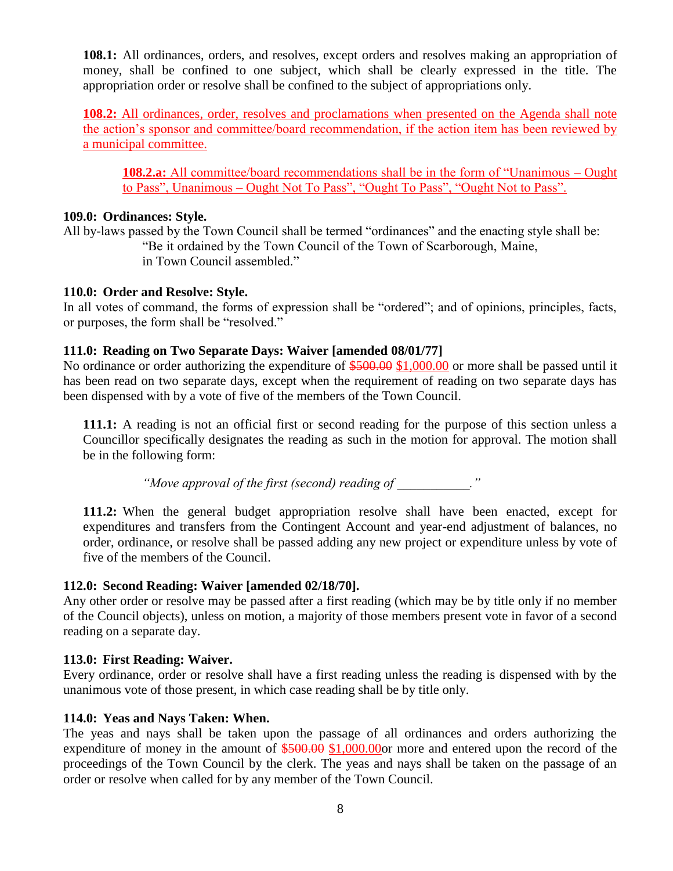**108.1:** All ordinances, orders, and resolves, except orders and resolves making an appropriation of money, shall be confined to one subject, which shall be clearly expressed in the title. The appropriation order or resolve shall be confined to the subject of appropriations only.

**108.2:** All ordinances, order, resolves and proclamations when presented on the Agenda shall note the action's sponsor and committee/board recommendation, if the action item has been reviewed by a municipal committee.

**108.2.a:** All committee/board recommendations shall be in the form of "Unanimous – Ought to Pass", Unanimous – Ought Not To Pass", "Ought To Pass", "Ought Not to Pass".

#### **109.0: Ordinances: Style.**

All by-laws passed by the Town Council shall be termed "ordinances" and the enacting style shall be: "Be it ordained by the Town Council of the Town of Scarborough, Maine, in Town Council assembled."

#### **110.0: Order and Resolve: Style.**

In all votes of command, the forms of expression shall be "ordered"; and of opinions, principles, facts, or purposes, the form shall be "resolved."

#### **111.0: Reading on Two Separate Days: Waiver [amended 08/01/77]**

No ordinance or order authorizing the expenditure of  $$500.00 $1,000.00$  or more shall be passed until it has been read on two separate days, except when the requirement of reading on two separate days has been dispensed with by a vote of five of the members of the Town Council.

**111.1:** A reading is not an official first or second reading for the purpose of this section unless a Councillor specifically designates the reading as such in the motion for approval. The motion shall be in the following form:

*"Move approval of the first (second) reading of \_\_\_\_\_\_\_\_\_\_\_."*

**111.2:** When the general budget appropriation resolve shall have been enacted, except for expenditures and transfers from the Contingent Account and year-end adjustment of balances, no order, ordinance, or resolve shall be passed adding any new project or expenditure unless by vote of five of the members of the Council.

#### **112.0: Second Reading: Waiver [amended 02/18/70].**

Any other order or resolve may be passed after a first reading (which may be by title only if no member of the Council objects), unless on motion, a majority of those members present vote in favor of a second reading on a separate day.

#### **113.0: First Reading: Waiver.**

Every ordinance, order or resolve shall have a first reading unless the reading is dispensed with by the unanimous vote of those present, in which case reading shall be by title only.

#### **114.0: Yeas and Nays Taken: When.**

The yeas and nays shall be taken upon the passage of all ordinances and orders authorizing the expenditure of money in the amount of  $$500.00$  \$1,000.00or more and entered upon the record of the proceedings of the Town Council by the clerk. The yeas and nays shall be taken on the passage of an order or resolve when called for by any member of the Town Council.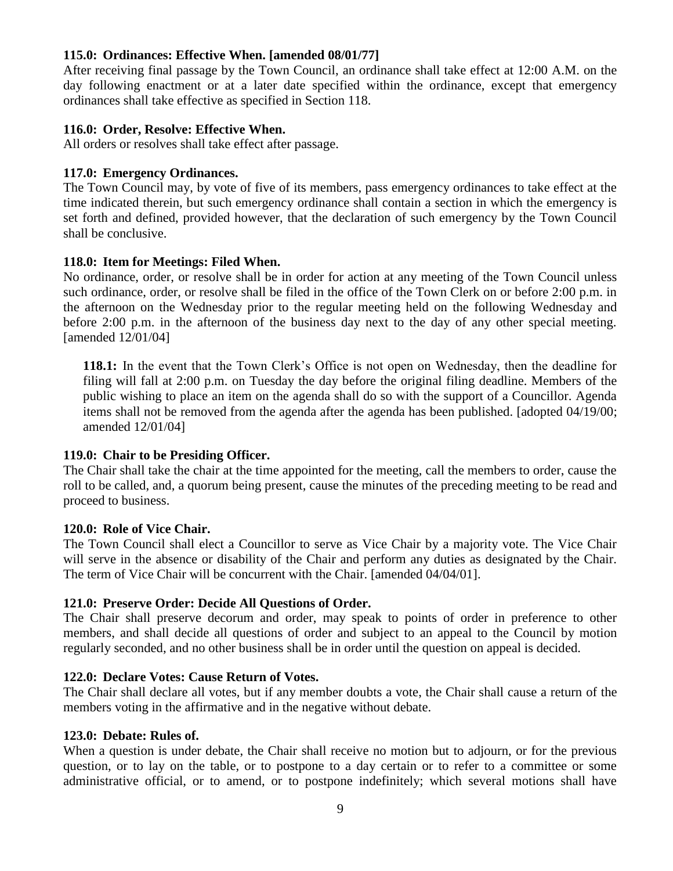## **115.0: Ordinances: Effective When. [amended 08/01/77]**

After receiving final passage by the Town Council, an ordinance shall take effect at 12:00 A.M. on the day following enactment or at a later date specified within the ordinance, except that emergency ordinances shall take effective as specified in Section 118.

#### **116.0: Order, Resolve: Effective When.**

All orders or resolves shall take effect after passage.

### **117.0: Emergency Ordinances.**

The Town Council may, by vote of five of its members, pass emergency ordinances to take effect at the time indicated therein, but such emergency ordinance shall contain a section in which the emergency is set forth and defined, provided however, that the declaration of such emergency by the Town Council shall be conclusive.

#### **118.0: Item for Meetings: Filed When.**

No ordinance, order, or resolve shall be in order for action at any meeting of the Town Council unless such ordinance, order, or resolve shall be filed in the office of the Town Clerk on or before 2:00 p.m. in the afternoon on the Wednesday prior to the regular meeting held on the following Wednesday and before 2:00 p.m. in the afternoon of the business day next to the day of any other special meeting. [amended 12/01/04]

**118.1:** In the event that the Town Clerk's Office is not open on Wednesday, then the deadline for filing will fall at 2:00 p.m. on Tuesday the day before the original filing deadline. Members of the public wishing to place an item on the agenda shall do so with the support of a Councillor. Agenda items shall not be removed from the agenda after the agenda has been published. [adopted 04/19/00; amended 12/01/04]

#### **119.0: Chair to be Presiding Officer.**

The Chair shall take the chair at the time appointed for the meeting, call the members to order, cause the roll to be called, and, a quorum being present, cause the minutes of the preceding meeting to be read and proceed to business.

#### **120.0: Role of Vice Chair.**

The Town Council shall elect a Councillor to serve as Vice Chair by a majority vote. The Vice Chair will serve in the absence or disability of the Chair and perform any duties as designated by the Chair. The term of Vice Chair will be concurrent with the Chair. [amended 04/04/01].

## **121.0: Preserve Order: Decide All Questions of Order.**

The Chair shall preserve decorum and order, may speak to points of order in preference to other members, and shall decide all questions of order and subject to an appeal to the Council by motion regularly seconded, and no other business shall be in order until the question on appeal is decided.

#### **122.0: Declare Votes: Cause Return of Votes.**

The Chair shall declare all votes, but if any member doubts a vote, the Chair shall cause a return of the members voting in the affirmative and in the negative without debate.

#### **123.0: Debate: Rules of.**

When a question is under debate, the Chair shall receive no motion but to adjourn, or for the previous question, or to lay on the table, or to postpone to a day certain or to refer to a committee or some administrative official, or to amend, or to postpone indefinitely; which several motions shall have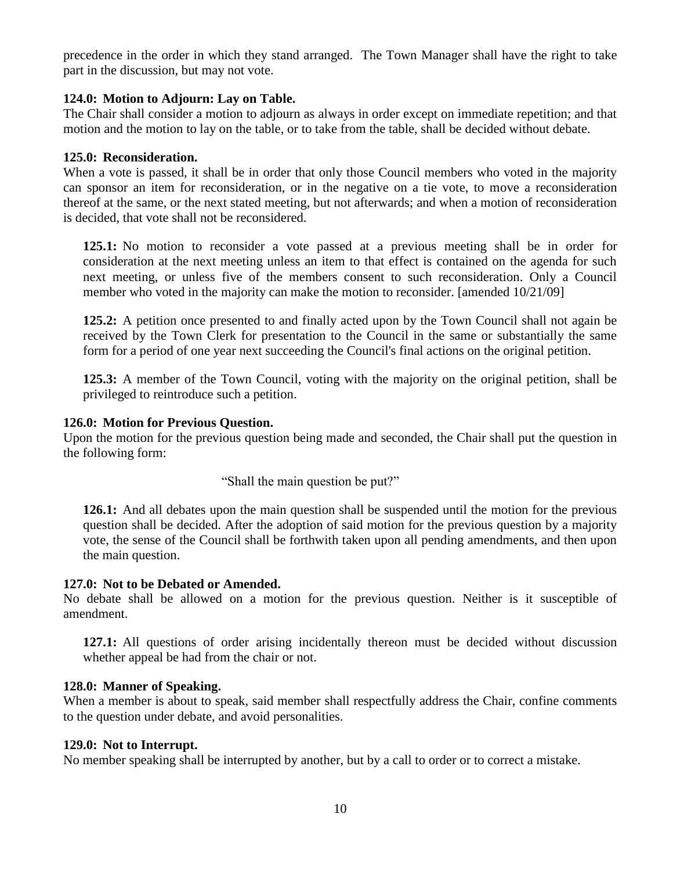precedence in the order in which they stand arranged. The Town Manager shall have the right to take part in the discussion, but may not vote.

#### **124.0: Motion to Adjourn: Lay on Table.**

The Chair shall consider a motion to adjourn as always in order except on immediate repetition; and that motion and the motion to lay on the table, or to take from the table, shall be decided without debate.

#### **125.0: Reconsideration.**

When a vote is passed, it shall be in order that only those Council members who voted in the majority can sponsor an item for reconsideration, or in the negative on a tie vote, to move a reconsideration thereof at the same, or the next stated meeting, but not afterwards; and when a motion of reconsideration is decided, that vote shall not be reconsidered.

**125.1:** No motion to reconsider a vote passed at a previous meeting shall be in order for consideration at the next meeting unless an item to that effect is contained on the agenda for such next meeting, or unless five of the members consent to such reconsideration. Only a Council member who voted in the majority can make the motion to reconsider. [amended 10/21/09]

**125.2:** A petition once presented to and finally acted upon by the Town Council shall not again be received by the Town Clerk for presentation to the Council in the same or substantially the same form for a period of one year next succeeding the Council's final actions on the original petition.

**125.3:** A member of the Town Council, voting with the majority on the original petition, shall be privileged to reintroduce such a petition.

#### **126.0: Motion for Previous Question.**

Upon the motion for the previous question being made and seconded, the Chair shall put the question in the following form:

"Shall the main question be put?"

**126.1:** And all debates upon the main question shall be suspended until the motion for the previous question shall be decided. After the adoption of said motion for the previous question by a majority vote, the sense of the Council shall be forthwith taken upon all pending amendments, and then upon the main question.

#### **127.0: Not to be Debated or Amended.**

No debate shall be allowed on a motion for the previous question. Neither is it susceptible of amendment.

**127.1:** All questions of order arising incidentally thereon must be decided without discussion whether appeal be had from the chair or not.

#### **128.0: Manner of Speaking.**

When a member is about to speak, said member shall respectfully address the Chair, confine comments to the question under debate, and avoid personalities.

#### **129.0: Not to Interrupt.**

No member speaking shall be interrupted by another, but by a call to order or to correct a mistake.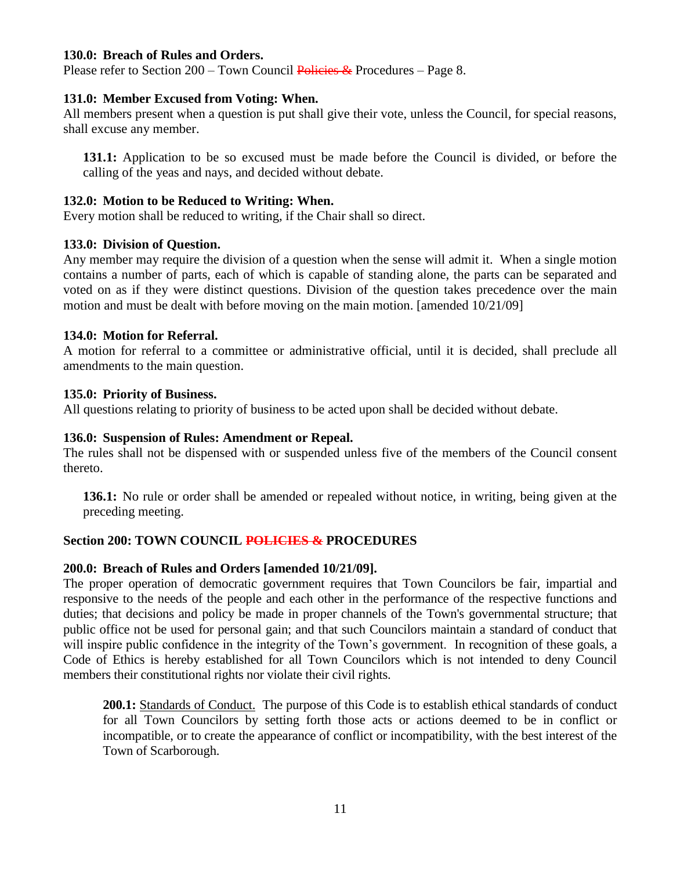#### **130.0: Breach of Rules and Orders.**

Please refer to Section  $200 - Town$  Council Policies & Procedures – Page 8.

#### **131.0: Member Excused from Voting: When.**

All members present when a question is put shall give their vote, unless the Council, for special reasons, shall excuse any member.

**131.1:** Application to be so excused must be made before the Council is divided, or before the calling of the yeas and nays, and decided without debate.

#### **132.0: Motion to be Reduced to Writing: When.**

Every motion shall be reduced to writing, if the Chair shall so direct.

#### **133.0: Division of Question.**

Any member may require the division of a question when the sense will admit it. When a single motion contains a number of parts, each of which is capable of standing alone, the parts can be separated and voted on as if they were distinct questions. Division of the question takes precedence over the main motion and must be dealt with before moving on the main motion. [amended 10/21/09]

#### **134.0: Motion for Referral.**

A motion for referral to a committee or administrative official, until it is decided, shall preclude all amendments to the main question.

#### **135.0: Priority of Business.**

All questions relating to priority of business to be acted upon shall be decided without debate.

#### **136.0: Suspension of Rules: Amendment or Repeal.**

The rules shall not be dispensed with or suspended unless five of the members of the Council consent thereto.

**136.1:** No rule or order shall be amended or repealed without notice, in writing, being given at the preceding meeting.

#### **Section 200: TOWN COUNCIL POLICIES & PROCEDURES**

#### **200.0: Breach of Rules and Orders [amended 10/21/09].**

The proper operation of democratic government requires that Town Councilors be fair, impartial and responsive to the needs of the people and each other in the performance of the respective functions and duties; that decisions and policy be made in proper channels of the Town's governmental structure; that public office not be used for personal gain; and that such Councilors maintain a standard of conduct that will inspire public confidence in the integrity of the Town's government. In recognition of these goals, a Code of Ethics is hereby established for all Town Councilors which is not intended to deny Council members their constitutional rights nor violate their civil rights.

**200.1:** Standards of Conduct. The purpose of this Code is to establish ethical standards of conduct for all Town Councilors by setting forth those acts or actions deemed to be in conflict or incompatible, or to create the appearance of conflict or incompatibility, with the best interest of the Town of Scarborough.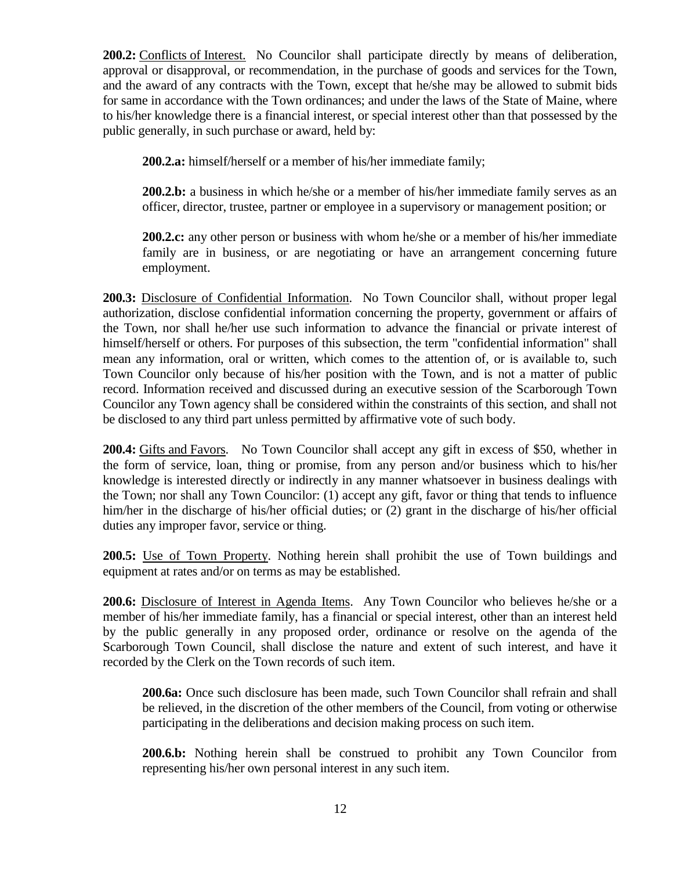**200.2:** Conflicts of Interest. No Councilor shall participate directly by means of deliberation, approval or disapproval, or recommendation, in the purchase of goods and services for the Town, and the award of any contracts with the Town, except that he/she may be allowed to submit bids for same in accordance with the Town ordinances; and under the laws of the State of Maine, where to his/her knowledge there is a financial interest, or special interest other than that possessed by the public generally, in such purchase or award, held by:

**200.2.a:** himself/herself or a member of his/her immediate family;

**200.2.b:** a business in which he/she or a member of his/her immediate family serves as an officer, director, trustee, partner or employee in a supervisory or management position; or

**200.2.c:** any other person or business with whom he/she or a member of his/her immediate family are in business, or are negotiating or have an arrangement concerning future employment.

**200.3:** Disclosure of Confidential Information. No Town Councilor shall, without proper legal authorization, disclose confidential information concerning the property, government or affairs of the Town, nor shall he/her use such information to advance the financial or private interest of himself/herself or others. For purposes of this subsection, the term "confidential information" shall mean any information, oral or written, which comes to the attention of, or is available to, such Town Councilor only because of his/her position with the Town, and is not a matter of public record. Information received and discussed during an executive session of the Scarborough Town Councilor any Town agency shall be considered within the constraints of this section, and shall not be disclosed to any third part unless permitted by affirmative vote of such body.

**200.4:** Gifts and Favors. No Town Councilor shall accept any gift in excess of \$50, whether in the form of service, loan, thing or promise, from any person and/or business which to his/her knowledge is interested directly or indirectly in any manner whatsoever in business dealings with the Town; nor shall any Town Councilor: (1) accept any gift, favor or thing that tends to influence him/her in the discharge of his/her official duties; or (2) grant in the discharge of his/her official duties any improper favor, service or thing.

**200.5:** Use of Town Property. Nothing herein shall prohibit the use of Town buildings and equipment at rates and/or on terms as may be established.

**200.6:** Disclosure of Interest in Agenda Items. Any Town Councilor who believes he/she or a member of his/her immediate family, has a financial or special interest, other than an interest held by the public generally in any proposed order, ordinance or resolve on the agenda of the Scarborough Town Council, shall disclose the nature and extent of such interest, and have it recorded by the Clerk on the Town records of such item.

**200.6a:** Once such disclosure has been made, such Town Councilor shall refrain and shall be relieved, in the discretion of the other members of the Council, from voting or otherwise participating in the deliberations and decision making process on such item.

**200.6.b:** Nothing herein shall be construed to prohibit any Town Councilor from representing his/her own personal interest in any such item.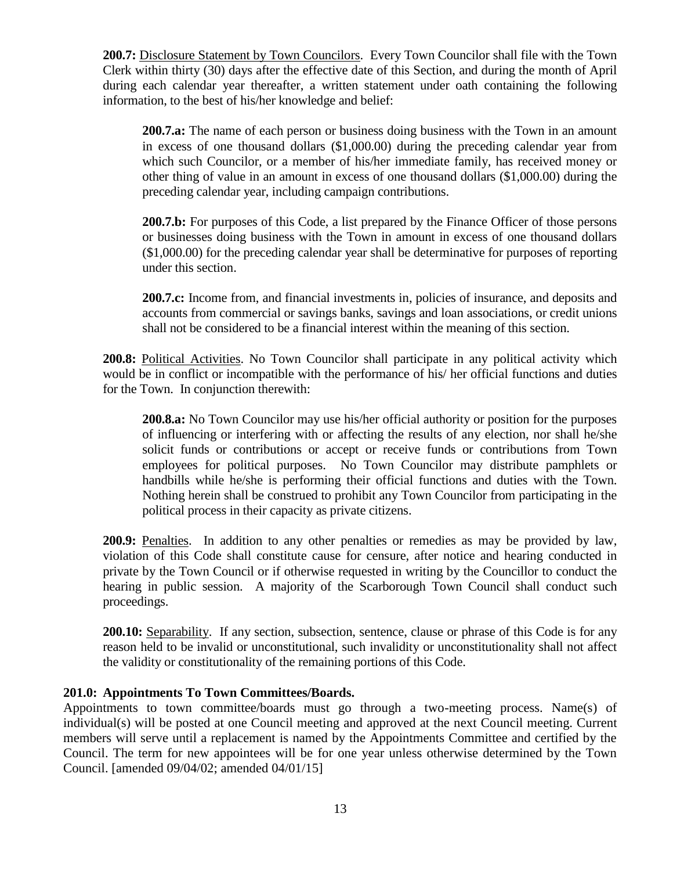**200.7:** Disclosure Statement by Town Councilors. Every Town Councilor shall file with the Town Clerk within thirty (30) days after the effective date of this Section, and during the month of April during each calendar year thereafter, a written statement under oath containing the following information, to the best of his/her knowledge and belief:

**200.7.a:** The name of each person or business doing business with the Town in an amount in excess of one thousand dollars (\$1,000.00) during the preceding calendar year from which such Councilor, or a member of his/her immediate family, has received money or other thing of value in an amount in excess of one thousand dollars (\$1,000.00) during the preceding calendar year, including campaign contributions.

**200.7.b:** For purposes of this Code, a list prepared by the Finance Officer of those persons or businesses doing business with the Town in amount in excess of one thousand dollars (\$1,000.00) for the preceding calendar year shall be determinative for purposes of reporting under this section.

**200.7.c:** Income from, and financial investments in, policies of insurance, and deposits and accounts from commercial or savings banks, savings and loan associations, or credit unions shall not be considered to be a financial interest within the meaning of this section.

**200.8:** Political Activities. No Town Councilor shall participate in any political activity which would be in conflict or incompatible with the performance of his/ her official functions and duties for the Town. In conjunction therewith:

**200.8.a:** No Town Councilor may use his/her official authority or position for the purposes of influencing or interfering with or affecting the results of any election, nor shall he/she solicit funds or contributions or accept or receive funds or contributions from Town employees for political purposes. No Town Councilor may distribute pamphlets or handbills while he/she is performing their official functions and duties with the Town. Nothing herein shall be construed to prohibit any Town Councilor from participating in the political process in their capacity as private citizens.

**200.9:** Penalties. In addition to any other penalties or remedies as may be provided by law, violation of this Code shall constitute cause for censure, after notice and hearing conducted in private by the Town Council or if otherwise requested in writing by the Councillor to conduct the hearing in public session. A majority of the Scarborough Town Council shall conduct such proceedings.

**200.10:** Separability. If any section, subsection, sentence, clause or phrase of this Code is for any reason held to be invalid or unconstitutional, such invalidity or unconstitutionality shall not affect the validity or constitutionality of the remaining portions of this Code.

#### **201.0: Appointments To Town Committees/Boards.**

Appointments to town committee/boards must go through a two-meeting process. Name(s) of individual(s) will be posted at one Council meeting and approved at the next Council meeting. Current members will serve until a replacement is named by the Appointments Committee and certified by the Council. The term for new appointees will be for one year unless otherwise determined by the Town Council. [amended 09/04/02; amended 04/01/15]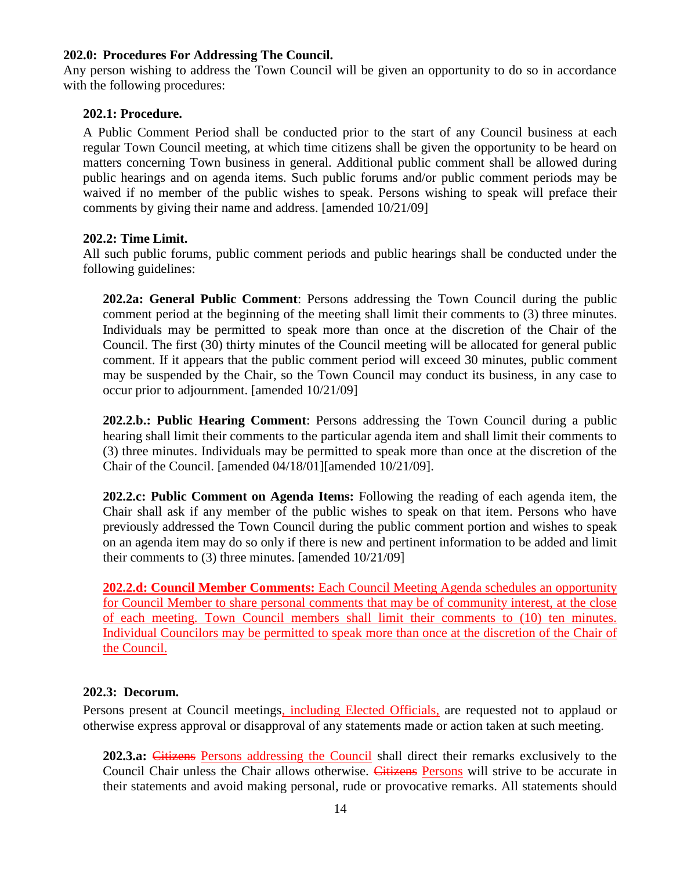#### **202.0: Procedures For Addressing The Council.**

Any person wishing to address the Town Council will be given an opportunity to do so in accordance with the following procedures:

#### **202.1: Procedure.**

A Public Comment Period shall be conducted prior to the start of any Council business at each regular Town Council meeting, at which time citizens shall be given the opportunity to be heard on matters concerning Town business in general. Additional public comment shall be allowed during public hearings and on agenda items. Such public forums and/or public comment periods may be waived if no member of the public wishes to speak. Persons wishing to speak will preface their comments by giving their name and address. [amended 10/21/09]

#### **202.2: Time Limit.**

All such public forums, public comment periods and public hearings shall be conducted under the following guidelines:

**202.2a: General Public Comment**: Persons addressing the Town Council during the public comment period at the beginning of the meeting shall limit their comments to (3) three minutes. Individuals may be permitted to speak more than once at the discretion of the Chair of the Council. The first (30) thirty minutes of the Council meeting will be allocated for general public comment. If it appears that the public comment period will exceed 30 minutes, public comment may be suspended by the Chair, so the Town Council may conduct its business, in any case to occur prior to adjournment. [amended 10/21/09]

**202.2.b.: Public Hearing Comment**: Persons addressing the Town Council during a public hearing shall limit their comments to the particular agenda item and shall limit their comments to (3) three minutes. Individuals may be permitted to speak more than once at the discretion of the Chair of the Council. [amended 04/18/01][amended 10/21/09].

**202.2.c: Public Comment on Agenda Items:** Following the reading of each agenda item, the Chair shall ask if any member of the public wishes to speak on that item. Persons who have previously addressed the Town Council during the public comment portion and wishes to speak on an agenda item may do so only if there is new and pertinent information to be added and limit their comments to (3) three minutes. [amended 10/21/09]

**202.2.d: Council Member Comments:** Each Council Meeting Agenda schedules an opportunity for Council Member to share personal comments that may be of community interest, at the close of each meeting. Town Council members shall limit their comments to (10) ten minutes. Individual Councilors may be permitted to speak more than once at the discretion of the Chair of the Council.

#### **202.3: Decorum.**

Persons present at Council meetings, including Elected Officials, are requested not to applaud or otherwise express approval or disapproval of any statements made or action taken at such meeting.

**202.3.a:** Citizens Persons addressing the Council shall direct their remarks exclusively to the Council Chair unless the Chair allows otherwise. Citizens Persons will strive to be accurate in their statements and avoid making personal, rude or provocative remarks. All statements should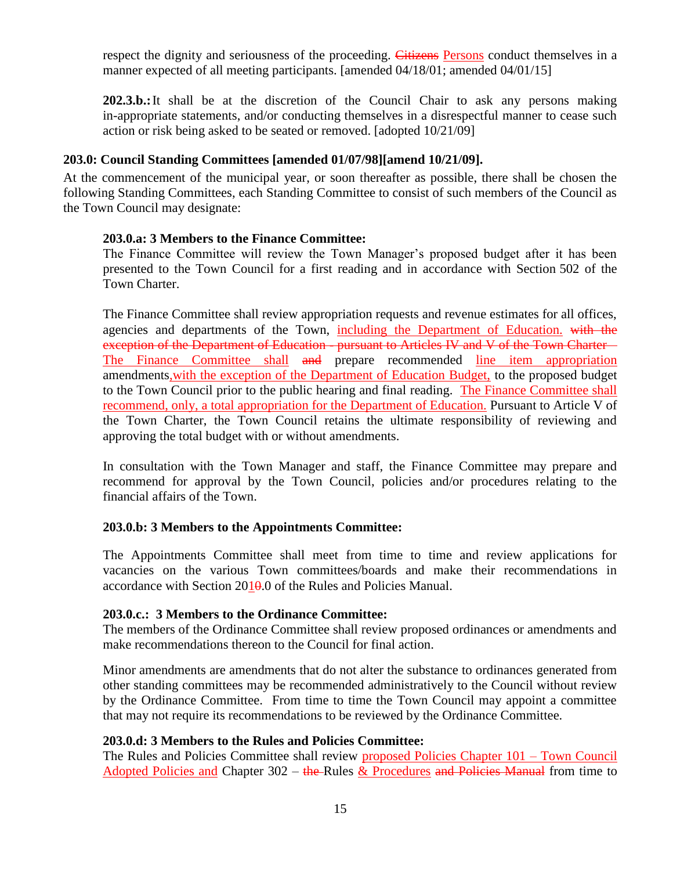respect the dignity and seriousness of the proceeding. Citizens Persons conduct themselves in a manner expected of all meeting participants. [amended 04/18/01; amended 04/01/15]

**202.3.b.:**It shall be at the discretion of the Council Chair to ask any persons making in-appropriate statements, and/or conducting themselves in a disrespectful manner to cease such action or risk being asked to be seated or removed. [adopted 10/21/09]

#### **203.0: Council Standing Committees [amended 01/07/98][amend 10/21/09].**

At the commencement of the municipal year, or soon thereafter as possible, there shall be chosen the following Standing Committees, each Standing Committee to consist of such members of the Council as the Town Council may designate:

#### **203.0.a: 3 Members to the Finance Committee:**

The Finance Committee will review the Town Manager's proposed budget after it has been presented to the Town Council for a first reading and in accordance with Section 502 of the Town Charter.

The Finance Committee shall review appropriation requests and revenue estimates for all offices, agencies and departments of the Town, including the Department of Education. with the exception of the Department of Education - pursuant to Articles IV and V of the Town Charter – The Finance Committee shall and prepare recommended line item appropriation amendments, with the exception of the Department of Education Budget, to the proposed budget to the Town Council prior to the public hearing and final reading. The Finance Committee shall recommend, only, a total appropriation for the Department of Education. Pursuant to Article V of the Town Charter, the Town Council retains the ultimate responsibility of reviewing and approving the total budget with or without amendments.

In consultation with the Town Manager and staff, the Finance Committee may prepare and recommend for approval by the Town Council, policies and/or procedures relating to the financial affairs of the Town.

#### **203.0.b: 3 Members to the Appointments Committee:**

The Appointments Committee shall meet from time to time and review applications for vacancies on the various Town committees/boards and make their recommendations in accordance with Section  $2010.0$  of the Rules and Policies Manual.

#### **203.0.c.: 3 Members to the Ordinance Committee:**

The members of the Ordinance Committee shall review proposed ordinances or amendments and make recommendations thereon to the Council for final action.

Minor amendments are amendments that do not alter the substance to ordinances generated from other standing committees may be recommended administratively to the Council without review by the Ordinance Committee. From time to time the Town Council may appoint a committee that may not require its recommendations to be reviewed by the Ordinance Committee.

#### **203.0.d: 3 Members to the Rules and Policies Committee:**

The Rules and Policies Committee shall review proposed Policies Chapter 101 – Town Council Adopted Policies and Chapter  $302 -$  the Rules & Procedures and Policies Manual from time to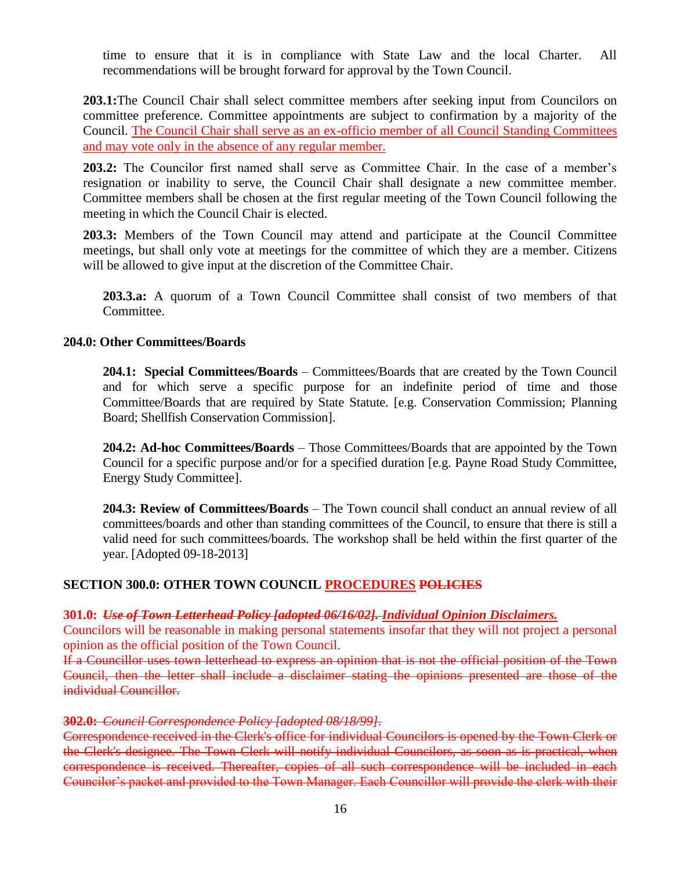time to ensure that it is in compliance with State Law and the local Charter. All recommendations will be brought forward for approval by the Town Council.

**203.1:**The Council Chair shall select committee members after seeking input from Councilors on committee preference. Committee appointments are subject to confirmation by a majority of the Council. The Council Chair shall serve as an ex-officio member of all Council Standing Committees and may vote only in the absence of any regular member.

**203.2:** The Councilor first named shall serve as Committee Chair. In the case of a member's resignation or inability to serve, the Council Chair shall designate a new committee member. Committee members shall be chosen at the first regular meeting of the Town Council following the meeting in which the Council Chair is elected.

**203.3:** Members of the Town Council may attend and participate at the Council Committee meetings, but shall only vote at meetings for the committee of which they are a member. Citizens will be allowed to give input at the discretion of the Committee Chair.

**203.3.a:** A quorum of a Town Council Committee shall consist of two members of that Committee.

#### **204.0: Other Committees/Boards**

**204.1: Special Committees/Boards** – Committees/Boards that are created by the Town Council and for which serve a specific purpose for an indefinite period of time and those Committee/Boards that are required by State Statute. [e.g. Conservation Commission; Planning Board; Shellfish Conservation Commission].

**204.2: Ad-hoc Committees/Boards** – Those Committees/Boards that are appointed by the Town Council for a specific purpose and/or for a specified duration [e.g. Payne Road Study Committee, Energy Study Committee].

**204.3: Review of Committees/Boards** – The Town council shall conduct an annual review of all committees/boards and other than standing committees of the Council, to ensure that there is still a valid need for such committees/boards. The workshop shall be held within the first quarter of the year. [Adopted 09-18-2013]

#### **SECTION 300.0: OTHER TOWN COUNCIL PROCEDURES POLICIES**

#### **301.0:** *Use of Town Letterhead Policy [adopted 06/16/02]. Individual Opinion Disclaimers.*

Councilors will be reasonable in making personal statements insofar that they will not project a personal opinion as the official position of the Town Council.

If a Councillor uses town letterhead to express an opinion that is not the official position of the Town Council, then the letter shall include a disclaimer stating the opinions presented are those of the individual Councillor.

#### **302.0:** *Council Correspondence Policy [adopted 08/18/99].*

Correspondence received in the Clerk's office for individual Councilors is opened by the Town Clerk or the Clerk's designee. The Town Clerk will notify individual Councilors, as soon as is practical, when correspondence is received. Thereafter, copies of all such correspondence will be included in each Councilor's packet and provided to the Town Manager. Each Councillor will provide the clerk with their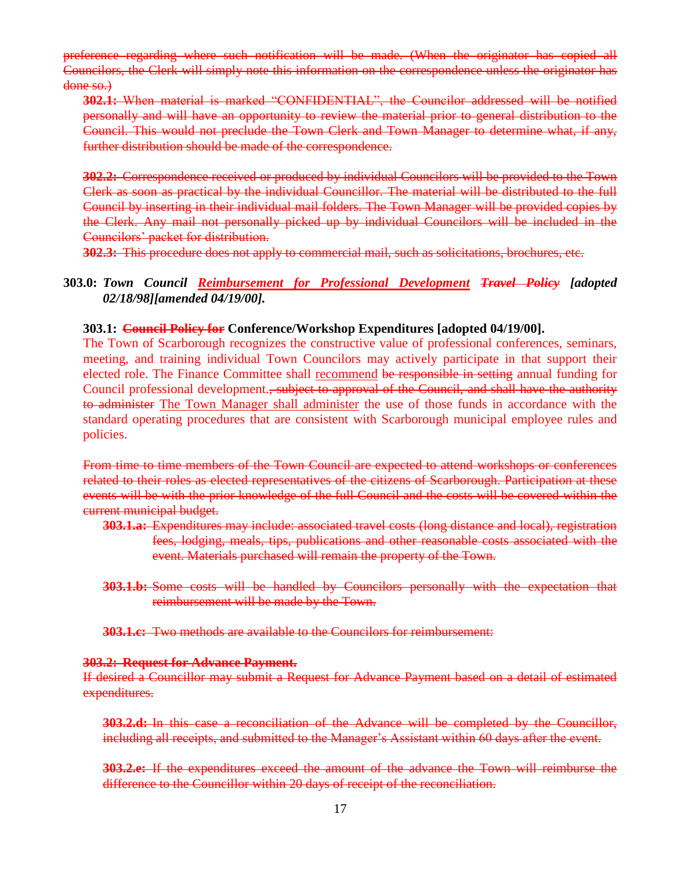preference regarding where such notification will be made. (When the originator has copied all Councilors, the Clerk will simply note this information on the correspondence unless the originator has done so.)

**302.1:** When material is marked "CONFIDENTIAL", the Councilor addressed will be notified personally and will have an opportunity to review the material prior to general distribution to the Council. This would not preclude the Town Clerk and Town Manager to determine what, if any, further distribution should be made of the correspondence.

**302.2:** Correspondence received or produced by individual Councilors will be provided to the Town Clerk as soon as practical by the individual Councillor. The material will be distributed to the full Council by inserting in their individual mail folders. The Town Manager will be provided copies by the Clerk. Any mail not personally picked up by individual Councilors will be included in the Councilors' packet for distribution.

**302.3:** This procedure does not apply to commercial mail, such as solicitations, brochures, etc.

#### **303.0:** *Town Council Reimbursement for Professional Development Travel Policy [adopted 02/18/98][amended 04/19/00].*

#### **303.1: Council Policy for Conference/Workshop Expenditures [adopted 04/19/00].**

The Town of Scarborough recognizes the constructive value of professional conferences, seminars, meeting, and training individual Town Councilors may actively participate in that support their elected role. The Finance Committee shall recommend be responsible in setting annual funding for Council professional development., subject to approval of the Council, and shall have the authority to administer The Town Manager shall administer the use of those funds in accordance with the standard operating procedures that are consistent with Scarborough municipal employee rules and policies.

From time to time members of the Town Council are expected to attend workshops or conferences related to their roles as elected representatives of the citizens of Scarborough. Participation at these events will be with the prior knowledge of the full Council and the costs will be covered within the current municipal budget.

- **303.1.a:** Expenditures may include: associated travel costs (long distance and local), registration fees, lodging, meals, tips, publications and other reasonable costs associated with the event. Materials purchased will remain the property of the Town.
- **303.1.b:** Some costs will be handled by Councilors personally with the expectation that reimbursement will be made by the Town.

**303.1.c:** Two methods are available to the Councilors for reimbursement:

#### **303.2: Request for Advance Payment.**

If desired a Councillor may submit a Request for Advance Payment based on a detail of estimated expenditures.

**303.2.d:** In this case a reconciliation of the Advance will be completed by the Councillor, including all receipts, and submitted to the Manager's Assistant within 60 days after the event.

**303.2.e:** If the expenditures exceed the amount of the advance the Town will reimburse the difference to the Councillor within 20 days of receipt of the reconciliation.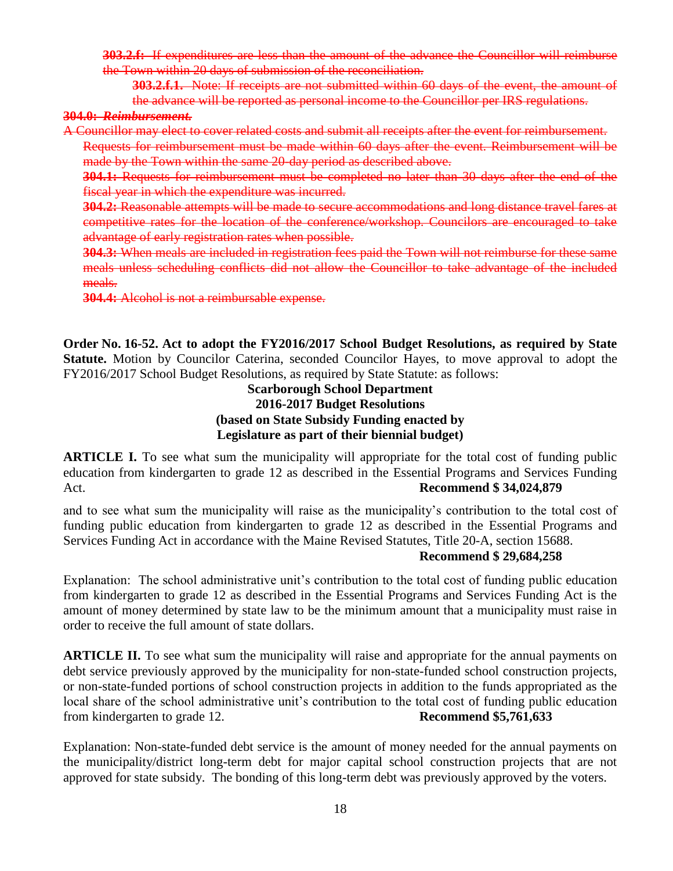**303.2.f:** If expenditures are less than the amount of the advance the Councillor will reimburse the Town within 20 days of submission of the reconciliation.

**303.2.f.1.** Note: If receipts are not submitted within 60 days of the event, the amount of the advance will be reported as personal income to the Councillor per IRS regulations.

#### **304.0:** *Reimbursement.*

A Councillor may elect to cover related costs and submit all receipts after the event for reimbursement. Requests for reimbursement must be made within 60 days after the event. Reimbursement will be made by the Town within the same 20-day period as described above.

**304.1:** Requests for reimbursement must be completed no later than 30 days after the end of the fiscal year in which the expenditure was incurred.

**304.2:** Reasonable attempts will be made to secure accommodations and long distance travel fares at competitive rates for the location of the conference/workshop. Councilors are encouraged to take advantage of early registration rates when possible.

**304.3:** When meals are included in registration fees paid the Town will not reimburse for these same meals unless scheduling conflicts did not allow the Councillor to take advantage of the included meals.

**304.4:** Alcohol is not a reimbursable expense.

**Order No. 16-52. Act to adopt the FY2016/2017 School Budget Resolutions, as required by State Statute.** Motion by Councilor Caterina, seconded Councilor Hayes, to move approval to adopt the FY2016/2017 School Budget Resolutions, as required by State Statute: as follows:

## **Scarborough School Department 2016-2017 Budget Resolutions (based on State Subsidy Funding enacted by Legislature as part of their biennial budget)**

**ARTICLE I.** To see what sum the municipality will appropriate for the total cost of funding public education from kindergarten to grade 12 as described in the Essential Programs and Services Funding Act. **Recommend \$ 34,024,879**

and to see what sum the municipality will raise as the municipality's contribution to the total cost of funding public education from kindergarten to grade 12 as described in the Essential Programs and Services Funding Act in accordance with the Maine Revised Statutes, Title 20-A, section 15688.

#### **Recommend \$ 29,684,258**

Explanation: The school administrative unit's contribution to the total cost of funding public education from kindergarten to grade 12 as described in the Essential Programs and Services Funding Act is the amount of money determined by state law to be the minimum amount that a municipality must raise in order to receive the full amount of state dollars.

**ARTICLE II.** To see what sum the municipality will raise and appropriate for the annual payments on debt service previously approved by the municipality for non-state-funded school construction projects, or non-state-funded portions of school construction projects in addition to the funds appropriated as the local share of the school administrative unit's contribution to the total cost of funding public education from kindergarten to grade 12. **Recommend** \$5,761,633

Explanation: Non-state-funded debt service is the amount of money needed for the annual payments on the municipality/district long-term debt for major capital school construction projects that are not approved for state subsidy. The bonding of this long-term debt was previously approved by the voters.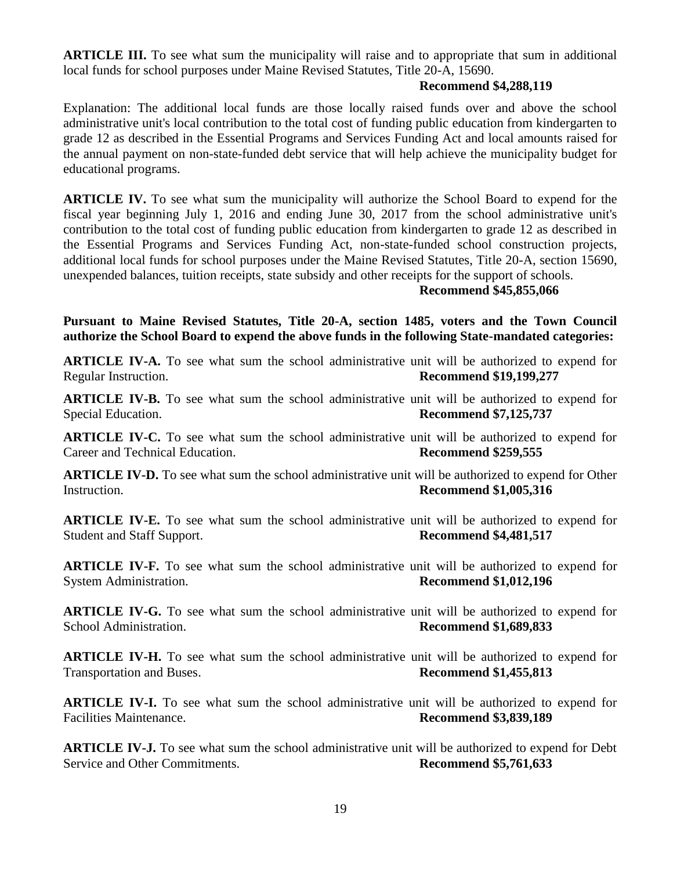**ARTICLE III.** To see what sum the municipality will raise and to appropriate that sum in additional local funds for school purposes under Maine Revised Statutes, Title 20-A, 15690.

#### **Recommend \$4,288,119**

Explanation: The additional local funds are those locally raised funds over and above the school administrative unit's local contribution to the total cost of funding public education from kindergarten to grade 12 as described in the Essential Programs and Services Funding Act and local amounts raised for the annual payment on non-state-funded debt service that will help achieve the municipality budget for educational programs.

**ARTICLE IV.** To see what sum the municipality will authorize the School Board to expend for the fiscal year beginning July 1, 2016 and ending June 30, 2017 from the school administrative unit's contribution to the total cost of funding public education from kindergarten to grade 12 as described in the Essential Programs and Services Funding Act, non-state-funded school construction projects, additional local funds for school purposes under the Maine Revised Statutes, Title 20-A, section 15690, unexpended balances, tuition receipts, state subsidy and other receipts for the support of schools.

#### **Recommend \$45,855,066**

**Pursuant to Maine Revised Statutes, Title 20-A, section 1485, voters and the Town Council authorize the School Board to expend the above funds in the following State-mandated categories:**

**ARTICLE IV-A.** To see what sum the school administrative unit will be authorized to expend for Regular Instruction. **Recommend \$19,199,277**

**ARTICLE IV-B.** To see what sum the school administrative unit will be authorized to expend for Special Education. **Recommend \$7,125,737**

**ARTICLE IV-C.** To see what sum the school administrative unit will be authorized to expend for Career and Technical Education. **Recommend \$259,555**

**ARTICLE IV-D.** To see what sum the school administrative unit will be authorized to expend for Other Instruction. **Recommend \$1,005,316**

**ARTICLE IV-E.** To see what sum the school administrative unit will be authorized to expend for Student and Staff Support. **Recommend \$4,481,517**

**ARTICLE IV-F.** To see what sum the school administrative unit will be authorized to expend for System Administration. **Recommend \$1,012,196**

**ARTICLE IV-G.** To see what sum the school administrative unit will be authorized to expend for School Administration. **Recommend \$1,689,833**

**ARTICLE IV-H.** To see what sum the school administrative unit will be authorized to expend for Transportation and Buses. **Recommend \$1,455,813**

**ARTICLE IV-I.** To see what sum the school administrative unit will be authorized to expend for Facilities Maintenance. **Recommend \$3,839,189** 

**ARTICLE IV-J.** To see what sum the school administrative unit will be authorized to expend for Debt Service and Other Commitments. **Recommend \$5,761,633**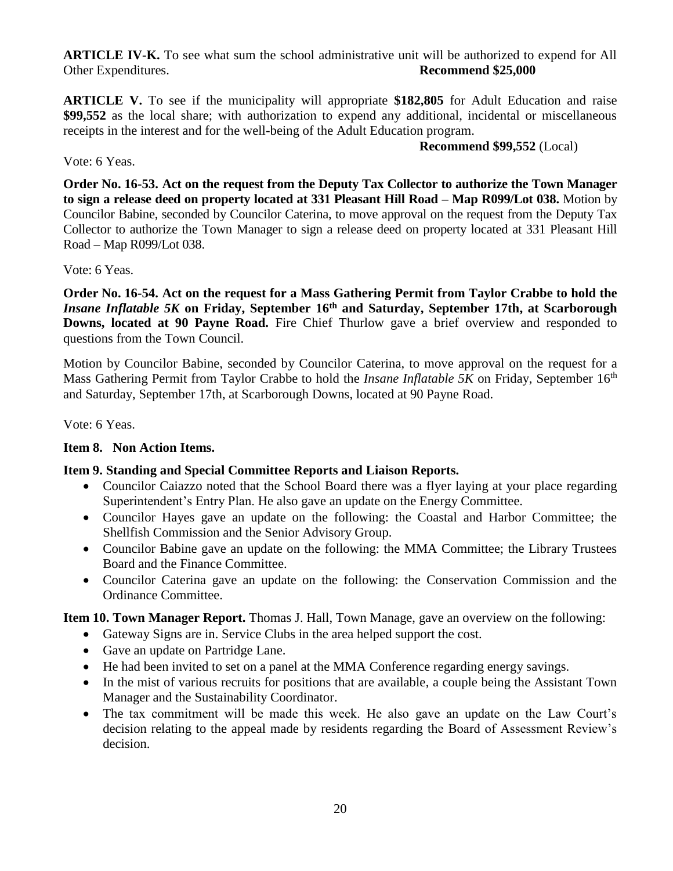**ARTICLE IV-K.** To see what sum the school administrative unit will be authorized to expend for All Other Expenditures. **Recommend \$25,000**

**ARTICLE V.** To see if the municipality will appropriate **\$182,805** for Adult Education and raise **\$99,552** as the local share; with authorization to expend any additional, incidental or miscellaneous receipts in the interest and for the well-being of the Adult Education program.

**Recommend \$99,552** (Local)

### Vote: 6 Yeas.

**Order No. 16-53. Act on the request from the Deputy Tax Collector to authorize the Town Manager to sign a release deed on property located at 331 Pleasant Hill Road – Map R099/Lot 038.** Motion by Councilor Babine, seconded by Councilor Caterina, to move approval on the request from the Deputy Tax Collector to authorize the Town Manager to sign a release deed on property located at 331 Pleasant Hill Road – Map R099/Lot 038.

## Vote: 6 Yeas.

**Order No. 16-54. Act on the request for a Mass Gathering Permit from Taylor Crabbe to hold the**  *Insane Inflatable 5K* **on Friday, September 16th and Saturday, September 17th, at Scarborough Downs, located at 90 Payne Road.** Fire Chief Thurlow gave a brief overview and responded to questions from the Town Council.

Motion by Councilor Babine, seconded by Councilor Caterina, to move approval on the request for a Mass Gathering Permit from Taylor Crabbe to hold the *Insane Inflatable 5K* on Friday, September 16<sup>th</sup> and Saturday, September 17th, at Scarborough Downs, located at 90 Payne Road.

Vote: 6 Yeas.

## **Item 8. Non Action Items.**

## **Item 9. Standing and Special Committee Reports and Liaison Reports.**

- Councilor Caiazzo noted that the School Board there was a flyer laying at your place regarding Superintendent's Entry Plan. He also gave an update on the Energy Committee.
- Councilor Hayes gave an update on the following: the Coastal and Harbor Committee; the Shellfish Commission and the Senior Advisory Group.
- Councilor Babine gave an update on the following: the MMA Committee; the Library Trustees Board and the Finance Committee.
- Councilor Caterina gave an update on the following: the Conservation Commission and the Ordinance Committee.

**Item 10. Town Manager Report.** Thomas J. Hall, Town Manage, gave an overview on the following:

- Gateway Signs are in. Service Clubs in the area helped support the cost.
- Gave an update on Partridge Lane.
- He had been invited to set on a panel at the MMA Conference regarding energy savings.
- In the mist of various recruits for positions that are available, a couple being the Assistant Town Manager and the Sustainability Coordinator.
- The tax commitment will be made this week. He also gave an update on the Law Court's decision relating to the appeal made by residents regarding the Board of Assessment Review's decision.